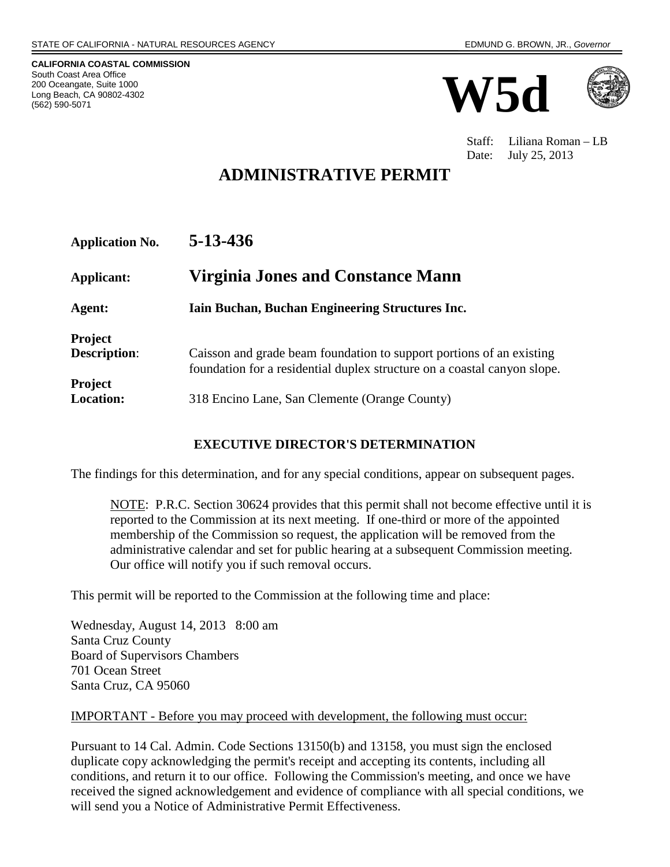**CALIFORNIA COASTAL COMMISSION** South Coast Area Office 200 Oceangate, Suite 1000 Long Beach, CA 90802-4302 (562) 590-5071





Staff: Liliana Roman – LB Date: July 25, 2013

# **ADMINISTRATIVE PERMIT**

| 5-13-436 |
|----------|
|          |

| Applicant:                            | Virginia Jones and Constance Mann                                                                                                                |
|---------------------------------------|--------------------------------------------------------------------------------------------------------------------------------------------------|
| Agent:                                | Iain Buchan, Buchan Engineering Structures Inc.                                                                                                  |
| <b>Project</b><br><b>Description:</b> | Caisson and grade beam foundation to support portions of an existing<br>foundation for a residential duplex structure on a coastal canyon slope. |
| <b>Project</b><br><b>Location:</b>    | 318 Encino Lane, San Clemente (Orange County)                                                                                                    |

#### **EXECUTIVE DIRECTOR'S DETERMINATION**

The findings for this determination, and for any special conditions, appear on subsequent pages.

NOTE: P.R.C. Section 30624 provides that this permit shall not become effective until it is reported to the Commission at its next meeting. If one-third or more of the appointed membership of the Commission so request, the application will be removed from the administrative calendar and set for public hearing at a subsequent Commission meeting. Our office will notify you if such removal occurs.

This permit will be reported to the Commission at the following time and place:

Wednesday, August 14, 2013 8:00 am Santa Cruz County Board of Supervisors Chambers 701 Ocean Street Santa Cruz, CA 95060

#### IMPORTANT - Before you may proceed with development, the following must occur:

Pursuant to 14 Cal. Admin. Code Sections 13150(b) and 13158, you must sign the enclosed duplicate copy acknowledging the permit's receipt and accepting its contents, including all conditions, and return it to our office. Following the Commission's meeting, and once we have received the signed acknowledgement and evidence of compliance with all special conditions, we will send you a Notice of Administrative Permit Effectiveness.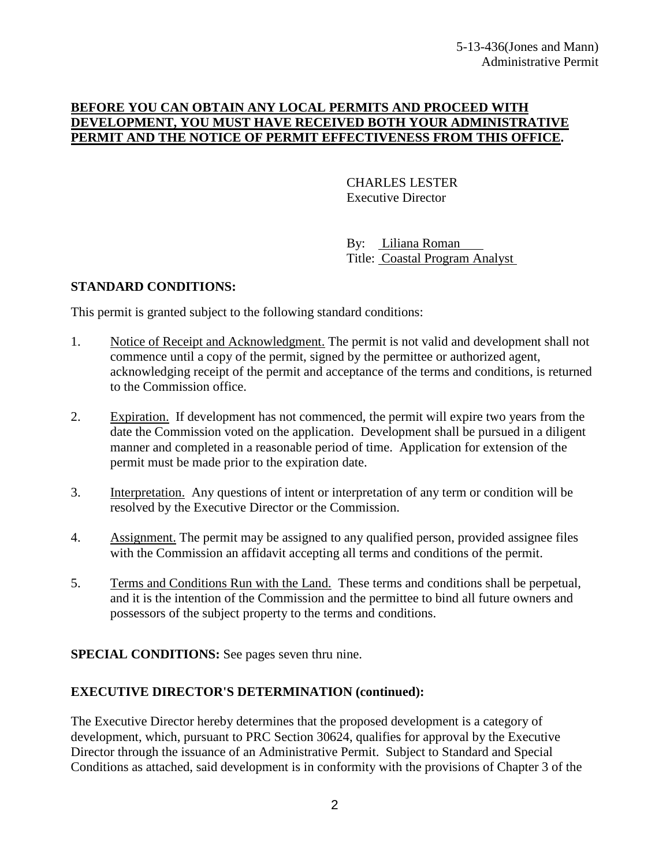#### **BEFORE YOU CAN OBTAIN ANY LOCAL PERMITS AND PROCEED WITH DEVELOPMENT, YOU MUST HAVE RECEIVED BOTH YOUR ADMINISTRATIVE PERMIT AND THE NOTICE OF PERMIT EFFECTIVENESS FROM THIS OFFICE.**

CHARLES LESTER Executive Director

By: Liliana Roman Title: Coastal Program Analyst

#### **STANDARD CONDITIONS:**

This permit is granted subject to the following standard conditions:

- 1. Notice of Receipt and Acknowledgment. The permit is not valid and development shall not commence until a copy of the permit, signed by the permittee or authorized agent, acknowledging receipt of the permit and acceptance of the terms and conditions, is returned to the Commission office.
- 2. Expiration. If development has not commenced, the permit will expire two years from the date the Commission voted on the application. Development shall be pursued in a diligent manner and completed in a reasonable period of time. Application for extension of the permit must be made prior to the expiration date.
- 3. Interpretation. Any questions of intent or interpretation of any term or condition will be resolved by the Executive Director or the Commission.
- 4. Assignment. The permit may be assigned to any qualified person, provided assignee files with the Commission an affidavit accepting all terms and conditions of the permit.
- 5. Terms and Conditions Run with the Land. These terms and conditions shall be perpetual, and it is the intention of the Commission and the permittee to bind all future owners and possessors of the subject property to the terms and conditions.

**SPECIAL CONDITIONS:** See pages seven thru nine.

#### **EXECUTIVE DIRECTOR'S DETERMINATION (continued):**

The Executive Director hereby determines that the proposed development is a category of development, which, pursuant to PRC Section 30624, qualifies for approval by the Executive Director through the issuance of an Administrative Permit. Subject to Standard and Special Conditions as attached, said development is in conformity with the provisions of Chapter 3 of the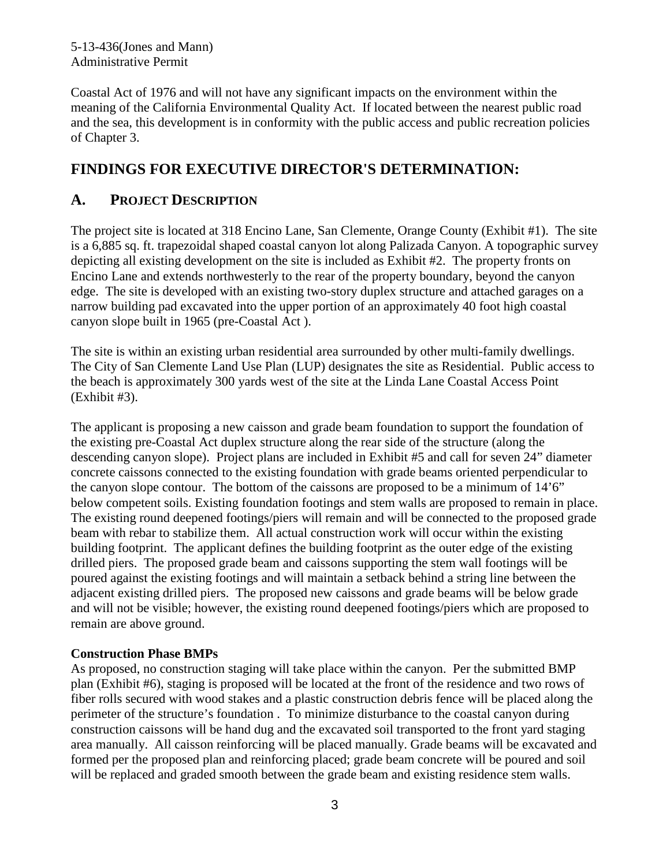5-13-436(Jones and Mann) Administrative Permit

Coastal Act of 1976 and will not have any significant impacts on the environment within the meaning of the California Environmental Quality Act. If located between the nearest public road and the sea, this development is in conformity with the public access and public recreation policies of Chapter 3.

## **FINDINGS FOR EXECUTIVE DIRECTOR'S DETERMINATION:**

### **A. PROJECT DESCRIPTION**

The project site is located at 318 Encino Lane, San Clemente, Orange County (Exhibit #1). The site is a 6,885 sq. ft. trapezoidal shaped coastal canyon lot along Palizada Canyon. A topographic survey depicting all existing development on the site is included as Exhibit #2. The property fronts on Encino Lane and extends northwesterly to the rear of the property boundary, beyond the canyon edge. The site is developed with an existing two-story duplex structure and attached garages on a narrow building pad excavated into the upper portion of an approximately 40 foot high coastal canyon slope built in 1965 (pre-Coastal Act ).

The site is within an existing urban residential area surrounded by other multi-family dwellings. The City of San Clemente Land Use Plan (LUP) designates the site as Residential. Public access to the beach is approximately 300 yards west of the site at the Linda Lane Coastal Access Point (Exhibit #3).

The applicant is proposing a new caisson and grade beam foundation to support the foundation of the existing pre-Coastal Act duplex structure along the rear side of the structure (along the descending canyon slope). Project plans are included in Exhibit #5 and call for seven 24" diameter concrete caissons connected to the existing foundation with grade beams oriented perpendicular to the canyon slope contour. The bottom of the caissons are proposed to be a minimum of  $14'6"$ below competent soils. Existing foundation footings and stem walls are proposed to remain in place. The existing round deepened footings/piers will remain and will be connected to the proposed grade beam with rebar to stabilize them. All actual construction work will occur within the existing building footprint. The applicant defines the building footprint as the outer edge of the existing drilled piers. The proposed grade beam and caissons supporting the stem wall footings will be poured against the existing footings and will maintain a setback behind a string line between the adjacent existing drilled piers. The proposed new caissons and grade beams will be below grade and will not be visible; however, the existing round deepened footings/piers which are proposed to remain are above ground.

#### **Construction Phase BMPs**

As proposed, no construction staging will take place within the canyon. Per the submitted BMP plan (Exhibit #6), staging is proposed will be located at the front of the residence and two rows of fiber rolls secured with wood stakes and a plastic construction debris fence will be placed along the perimeter of the structure's foundation . To minimize disturbance to the coastal canyon during construction caissons will be hand dug and the excavated soil transported to the front yard staging area manually. All caisson reinforcing will be placed manually. Grade beams will be excavated and formed per the proposed plan and reinforcing placed; grade beam concrete will be poured and soil will be replaced and graded smooth between the grade beam and existing residence stem walls.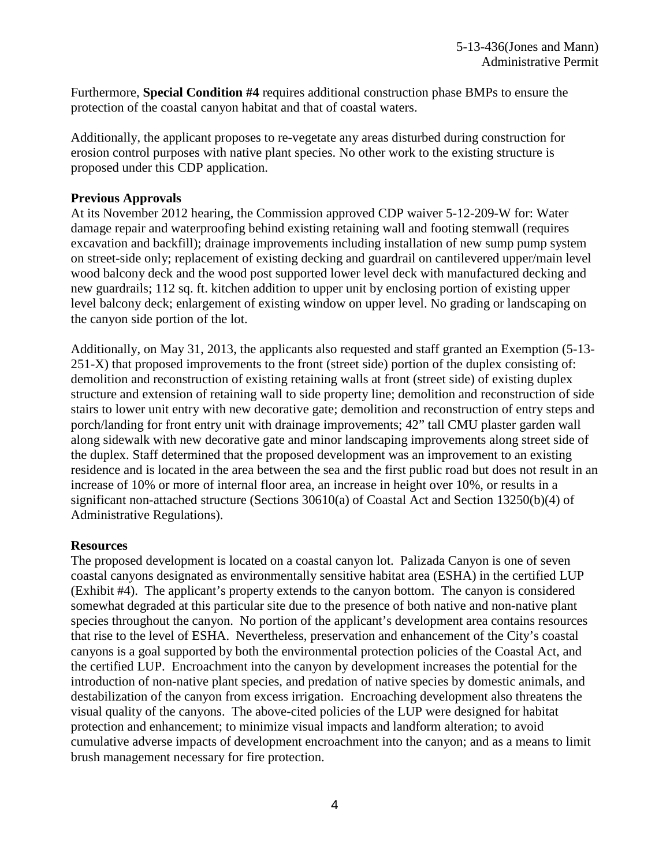Furthermore, **Special Condition #4** requires additional construction phase BMPs to ensure the protection of the coastal canyon habitat and that of coastal waters.

Additionally, the applicant proposes to re-vegetate any areas disturbed during construction for erosion control purposes with native plant species. No other work to the existing structure is proposed under this CDP application.

#### **Previous Approvals**

At its November 2012 hearing, the Commission approved CDP waiver 5-12-209-W for: Water damage repair and waterproofing behind existing retaining wall and footing stemwall (requires excavation and backfill); drainage improvements including installation of new sump pump system on street-side only; replacement of existing decking and guardrail on cantilevered upper/main level wood balcony deck and the wood post supported lower level deck with manufactured decking and new guardrails; 112 sq. ft. kitchen addition to upper unit by enclosing portion of existing upper level balcony deck; enlargement of existing window on upper level. No grading or landscaping on the canyon side portion of the lot.

Additionally, on May 31, 2013, the applicants also requested and staff granted an Exemption (5-13- 251-X) that proposed improvements to the front (street side) portion of the duplex consisting of: demolition and reconstruction of existing retaining walls at front (street side) of existing duplex structure and extension of retaining wall to side property line; demolition and reconstruction of side stairs to lower unit entry with new decorative gate; demolition and reconstruction of entry steps and porch/landing for front entry unit with drainage improvements; 42" tall CMU plaster garden wall along sidewalk with new decorative gate and minor landscaping improvements along street side of the duplex. Staff determined that the proposed development was an improvement to an existing residence and is located in the area between the sea and the first public road but does not result in an increase of 10% or more of internal floor area, an increase in height over 10%, or results in a significant non-attached structure (Sections 30610(a) of Coastal Act and Section 13250(b)(4) of Administrative Regulations).

#### **Resources**

The proposed development is located on a coastal canyon lot. Palizada Canyon is one of seven coastal canyons designated as environmentally sensitive habitat area (ESHA) in the certified LUP (Exhibit #4). The applicant's property extends to the canyon bottom. The canyon is considered somewhat degraded at this particular site due to the presence of both native and non-native plant species throughout the canyon. No portion of the applicant's development area contains resources that rise to the level of ESHA. Nevertheless, preservation and enhancement of the City's coastal canyons is a goal supported by both the environmental protection policies of the Coastal Act, and the certified LUP. Encroachment into the canyon by development increases the potential for the introduction of non-native plant species, and predation of native species by domestic animals, and destabilization of the canyon from excess irrigation. Encroaching development also threatens the visual quality of the canyons. The above-cited policies of the LUP were designed for habitat protection and enhancement; to minimize visual impacts and landform alteration; to avoid cumulative adverse impacts of development encroachment into the canyon; and as a means to limit brush management necessary for fire protection.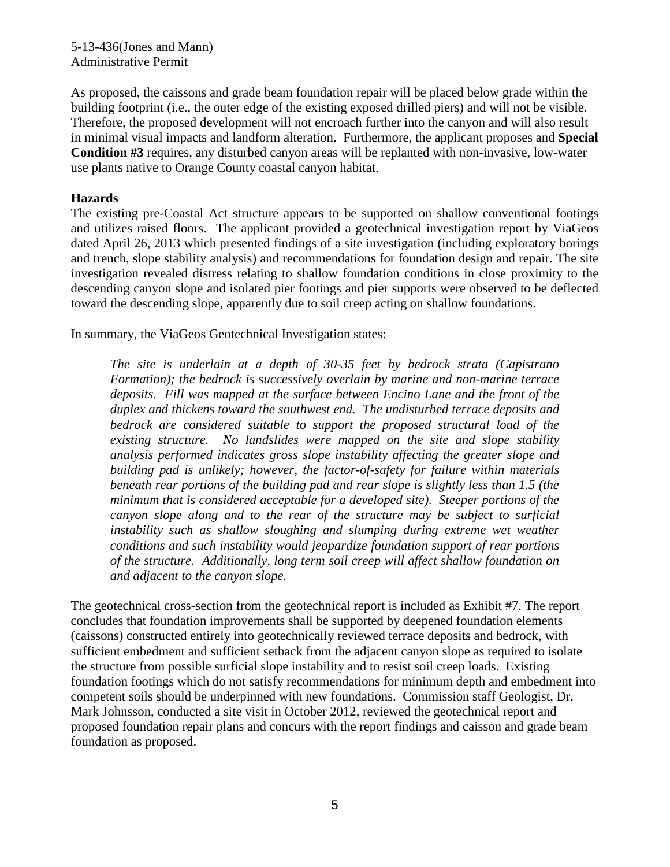5-13-436(Jones and Mann) Administrative Permit

As proposed, the caissons and grade beam foundation repair will be placed below grade within the building footprint (i.e., the outer edge of the existing exposed drilled piers) and will not be visible. Therefore, the proposed development will not encroach further into the canyon and will also result in minimal visual impacts and landform alteration. Furthermore, the applicant proposes and **Special Condition #3** requires, any disturbed canyon areas will be replanted with non-invasive, low-water use plants native to Orange County coastal canyon habitat.

#### **Hazards**

The existing pre-Coastal Act structure appears to be supported on shallow conventional footings and utilizes raised floors. The applicant provided a geotechnical investigation report by ViaGeos dated April 26, 2013 which presented findings of a site investigation (including exploratory borings and trench, slope stability analysis) and recommendations for foundation design and repair. The site investigation revealed distress relating to shallow foundation conditions in close proximity to the descending canyon slope and isolated pier footings and pier supports were observed to be deflected toward the descending slope, apparently due to soil creep acting on shallow foundations.

In summary, the ViaGeos Geotechnical Investigation states:

*The site is underlain at a depth of 30-35 feet by bedrock strata (Capistrano Formation); the bedrock is successively overlain by marine and non-marine terrace deposits. Fill was mapped at the surface between Encino Lane and the front of the duplex and thickens toward the southwest end. The undisturbed terrace deposits and bedrock are considered suitable to support the proposed structural load of the existing structure. No landslides were mapped on the site and slope stability analysis performed indicates gross slope instability affecting the greater slope and building pad is unlikely; however, the factor-of-safety for failure within materials beneath rear portions of the building pad and rear slope is slightly less than 1.5 (the minimum that is considered acceptable for a developed site). Steeper portions of the canyon slope along and to the rear of the structure may be subject to surficial instability such as shallow sloughing and slumping during extreme wet weather conditions and such instability would jeopardize foundation support of rear portions of the structure. Additionally, long term soil creep will affect shallow foundation on and adjacent to the canyon slope.*

The geotechnical cross-section from the geotechnical report is included as Exhibit #7. The report concludes that foundation improvements shall be supported by deepened foundation elements (caissons) constructed entirely into geotechnically reviewed terrace deposits and bedrock, with sufficient embedment and sufficient setback from the adjacent canyon slope as required to isolate the structure from possible surficial slope instability and to resist soil creep loads. Existing foundation footings which do not satisfy recommendations for minimum depth and embedment into competent soils should be underpinned with new foundations. Commission staff Geologist, Dr. Mark Johnsson, conducted a site visit in October 2012, reviewed the geotechnical report and proposed foundation repair plans and concurs with the report findings and caisson and grade beam foundation as proposed.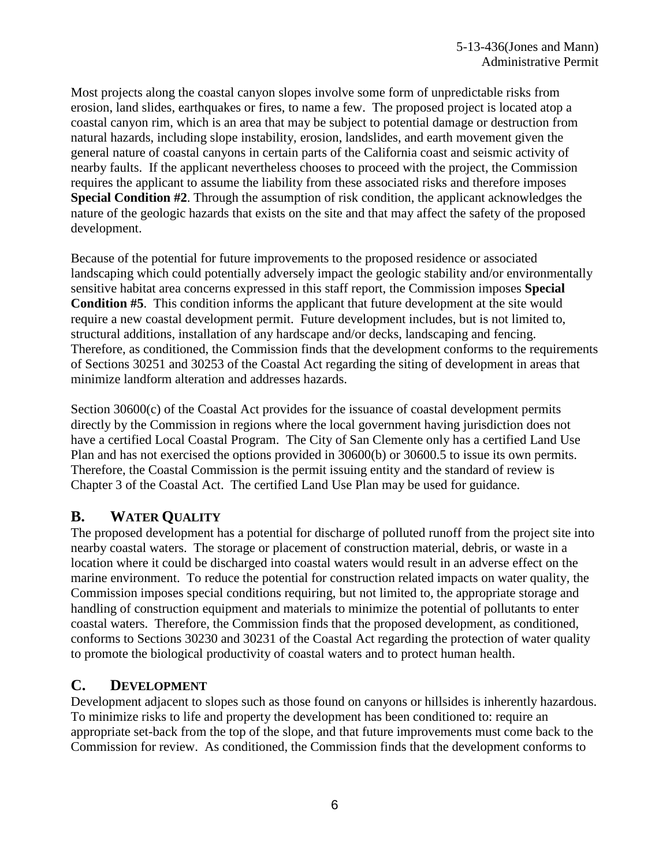Most projects along the coastal canyon slopes involve some form of unpredictable risks from erosion, land slides, earthquakes or fires, to name a few. The proposed project is located atop a coastal canyon rim, which is an area that may be subject to potential damage or destruction from natural hazards, including slope instability, erosion, landslides, and earth movement given the general nature of coastal canyons in certain parts of the California coast and seismic activity of nearby faults. If the applicant nevertheless chooses to proceed with the project, the Commission requires the applicant to assume the liability from these associated risks and therefore imposes **Special Condition #2**. Through the assumption of risk condition, the applicant acknowledges the nature of the geologic hazards that exists on the site and that may affect the safety of the proposed development.

Because of the potential for future improvements to the proposed residence or associated landscaping which could potentially adversely impact the geologic stability and/or environmentally sensitive habitat area concerns expressed in this staff report, the Commission imposes **Special Condition #5**. This condition informs the applicant that future development at the site would require a new coastal development permit. Future development includes, but is not limited to, structural additions, installation of any hardscape and/or decks, landscaping and fencing. Therefore, as conditioned, the Commission finds that the development conforms to the requirements of Sections 30251 and 30253 of the Coastal Act regarding the siting of development in areas that minimize landform alteration and addresses hazards.

Section 30600(c) of the Coastal Act provides for the issuance of coastal development permits directly by the Commission in regions where the local government having jurisdiction does not have a certified Local Coastal Program. The City of San Clemente only has a certified Land Use Plan and has not exercised the options provided in 30600(b) or 30600.5 to issue its own permits. Therefore, the Coastal Commission is the permit issuing entity and the standard of review is Chapter 3 of the Coastal Act. The certified Land Use Plan may be used for guidance.

### **B. WATER QUALITY**

The proposed development has a potential for discharge of polluted runoff from the project site into nearby coastal waters. The storage or placement of construction material, debris, or waste in a location where it could be discharged into coastal waters would result in an adverse effect on the marine environment. To reduce the potential for construction related impacts on water quality, the Commission imposes special conditions requiring, but not limited to, the appropriate storage and handling of construction equipment and materials to minimize the potential of pollutants to enter coastal waters. Therefore, the Commission finds that the proposed development, as conditioned, conforms to Sections 30230 and 30231 of the Coastal Act regarding the protection of water quality to promote the biological productivity of coastal waters and to protect human health.

## **C. DEVELOPMENT**

Development adjacent to slopes such as those found on canyons or hillsides is inherently hazardous. To minimize risks to life and property the development has been conditioned to: require an appropriate set-back from the top of the slope, and that future improvements must come back to the Commission for review. As conditioned, the Commission finds that the development conforms to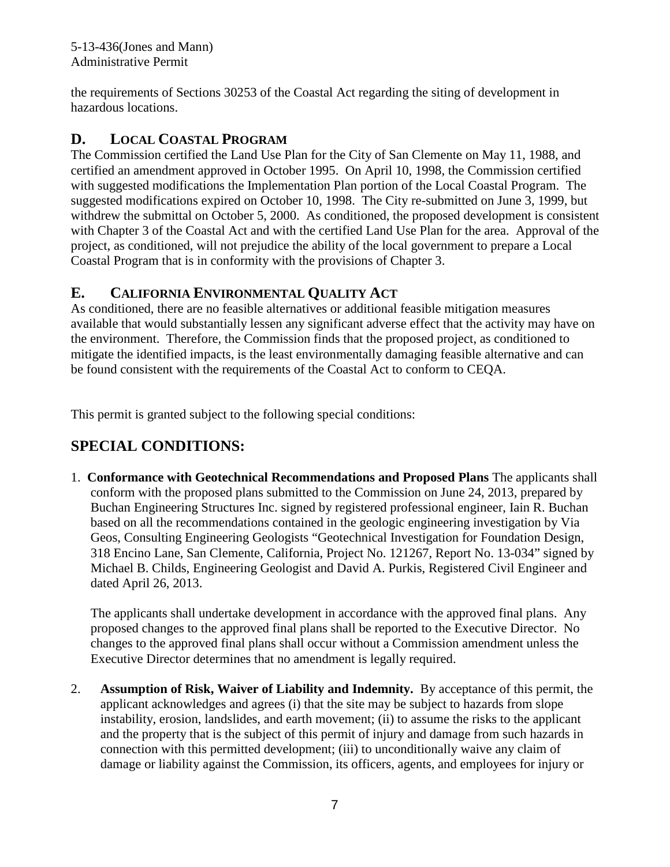the requirements of Sections 30253 of the Coastal Act regarding the siting of development in hazardous locations.

# **D. LOCAL COASTAL PROGRAM**

The Commission certified the Land Use Plan for the City of San Clemente on May 11, 1988, and certified an amendment approved in October 1995. On April 10, 1998, the Commission certified with suggested modifications the Implementation Plan portion of the Local Coastal Program. The suggested modifications expired on October 10, 1998. The City re-submitted on June 3, 1999, but withdrew the submittal on October 5, 2000. As conditioned, the proposed development is consistent with Chapter 3 of the Coastal Act and with the certified Land Use Plan for the area. Approval of the project, as conditioned, will not prejudice the ability of the local government to prepare a Local Coastal Program that is in conformity with the provisions of Chapter 3.

## **E. CALIFORNIA ENVIRONMENTAL QUALITY ACT**

As conditioned, there are no feasible alternatives or additional feasible mitigation measures available that would substantially lessen any significant adverse effect that the activity may have on the environment. Therefore, the Commission finds that the proposed project, as conditioned to mitigate the identified impacts, is the least environmentally damaging feasible alternative and can be found consistent with the requirements of the Coastal Act to conform to CEQA.

This permit is granted subject to the following special conditions:

# **SPECIAL CONDITIONS:**

1. **Conformance with Geotechnical Recommendations and Proposed Plans** The applicants shall conform with the proposed plans submitted to the Commission on June 24, 2013, prepared by Buchan Engineering Structures Inc. signed by registered professional engineer, Iain R. Buchan based on all the recommendations contained in the geologic engineering investigation by Via Geos, Consulting Engineering Geologists "Geotechnical Investigation for Foundation Design, 318 Encino Lane, San Clemente, California, Project No. 121267, Report No. 13-034" signed by Michael B. Childs, Engineering Geologist and David A. Purkis, Registered Civil Engineer and dated April 26, 2013.

The applicants shall undertake development in accordance with the approved final plans. Any proposed changes to the approved final plans shall be reported to the Executive Director. No changes to the approved final plans shall occur without a Commission amendment unless the Executive Director determines that no amendment is legally required.

2. **Assumption of Risk, Waiver of Liability and Indemnity.** By acceptance of this permit, the applicant acknowledges and agrees (i) that the site may be subject to hazards from slope instability, erosion, landslides, and earth movement; (ii) to assume the risks to the applicant and the property that is the subject of this permit of injury and damage from such hazards in connection with this permitted development; (iii) to unconditionally waive any claim of damage or liability against the Commission, its officers, agents, and employees for injury or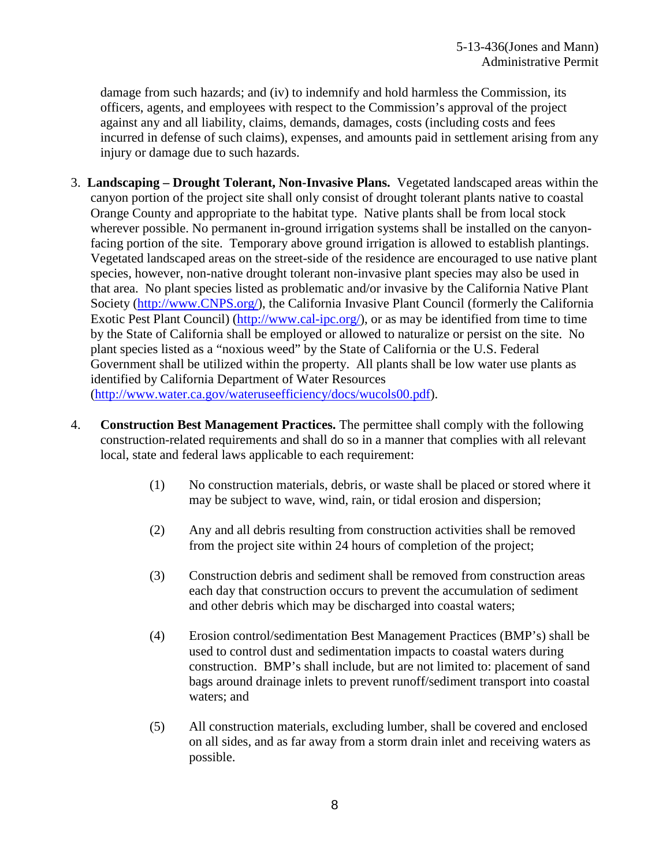damage from such hazards; and (iv) to indemnify and hold harmless the Commission, its officers, agents, and employees with respect to the Commission's approval of the project against any and all liability, claims, demands, damages, costs (including costs and fees incurred in defense of such claims), expenses, and amounts paid in settlement arising from any injury or damage due to such hazards.

- 3. **Landscaping – Drought Tolerant, Non-Invasive Plans.** Vegetated landscaped areas within the canyon portion of the project site shall only consist of drought tolerant plants native to coastal Orange County and appropriate to the habitat type. Native plants shall be from local stock wherever possible. No permanent in-ground irrigation systems shall be installed on the canyonfacing portion of the site. Temporary above ground irrigation is allowed to establish plantings. Vegetated landscaped areas on the street-side of the residence are encouraged to use native plant species, however, non-native drought tolerant non-invasive plant species may also be used in that area. No plant species listed as problematic and/or invasive by the California Native Plant Society [\(http://www.CNPS.org/\)](http://www.cnps.org/), the California Invasive Plant Council (formerly the California Exotic Pest Plant Council) [\(http://www.cal-ipc.org/\)](http://www.cal-ipc.org/), or as may be identified from time to time by the State of California shall be employed or allowed to naturalize or persist on the site. No plant species listed as a "noxious weed" by the State of California or the U.S. Federal Government shall be utilized within the property. All plants shall be low water use plants as identified by California Department of Water Resources [\(http://www.water.ca.gov/wateruseefficiency/docs/wucols00.pdf\)](http://www.water.ca.gov/wateruseefficiency/docs/wucols00.pdf).
- 4. **Construction Best Management Practices.** The permittee shall comply with the following construction-related requirements and shall do so in a manner that complies with all relevant local, state and federal laws applicable to each requirement:
	- (1) No construction materials, debris, or waste shall be placed or stored where it may be subject to wave, wind, rain, or tidal erosion and dispersion;
	- (2) Any and all debris resulting from construction activities shall be removed from the project site within 24 hours of completion of the project;
	- (3) Construction debris and sediment shall be removed from construction areas each day that construction occurs to prevent the accumulation of sediment and other debris which may be discharged into coastal waters;
	- (4) Erosion control/sedimentation Best Management Practices (BMP's) shall be used to control dust and sedimentation impacts to coastal waters during construction. BMP's shall include, but are not limited to: placement of sand bags around drainage inlets to prevent runoff/sediment transport into coastal waters; and
	- (5) All construction materials, excluding lumber, shall be covered and enclosed on all sides, and as far away from a storm drain inlet and receiving waters as possible.